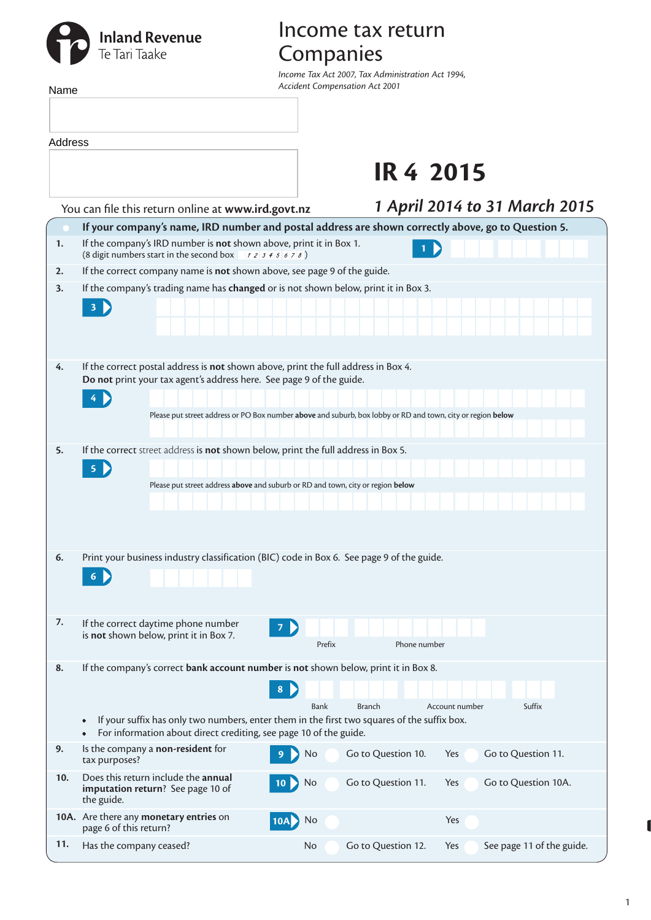# **Inland Revenue**<br>Te Tari Taake

## Income tax return Companies

*Income Tax Act 2007, Tax Administration Act 1994, Accident Compensation Act 2001*

| Name    |                                                                                        |                                                                               | income lax Act 2007, lax Aaministration Act 1994,<br><b>Accident Compensation Act 2001</b>                                                                       |                    |                  |                               |  |  |  |
|---------|----------------------------------------------------------------------------------------|-------------------------------------------------------------------------------|------------------------------------------------------------------------------------------------------------------------------------------------------------------|--------------------|------------------|-------------------------------|--|--|--|
|         |                                                                                        |                                                                               |                                                                                                                                                                  |                    |                  |                               |  |  |  |
|         |                                                                                        |                                                                               |                                                                                                                                                                  |                    |                  |                               |  |  |  |
| Address |                                                                                        |                                                                               |                                                                                                                                                                  |                    |                  |                               |  |  |  |
|         |                                                                                        |                                                                               |                                                                                                                                                                  |                    | <b>IR 4 2015</b> |                               |  |  |  |
|         |                                                                                        | You can file this return online at www.ird.govt.nz                            |                                                                                                                                                                  |                    |                  | 1 April 2014 to 31 March 2015 |  |  |  |
|         |                                                                                        |                                                                               | If your company's name, IRD number and postal address are shown correctly above, go to Question 5.                                                               |                    |                  |                               |  |  |  |
| 1.      |                                                                                        | (8 digit numbers start in the second box $\rightarrow$ 2 3 4 5 6 7 8)         | If the company's IRD number is not shown above, print it in Box 1.                                                                                               | 1                  |                  |                               |  |  |  |
| 2.      |                                                                                        |                                                                               | If the correct company name is not shown above, see page 9 of the guide.                                                                                         |                    |                  |                               |  |  |  |
| 3.      |                                                                                        |                                                                               | If the company's trading name has changed or is not shown below, print it in Box 3.                                                                              |                    |                  |                               |  |  |  |
|         |                                                                                        |                                                                               |                                                                                                                                                                  |                    |                  |                               |  |  |  |
|         |                                                                                        |                                                                               |                                                                                                                                                                  |                    |                  |                               |  |  |  |
|         |                                                                                        |                                                                               |                                                                                                                                                                  |                    |                  |                               |  |  |  |
| 4.      |                                                                                        |                                                                               | If the correct postal address is not shown above, print the full address in Box 4.                                                                               |                    |                  |                               |  |  |  |
|         |                                                                                        |                                                                               | Do not print your tax agent's address here. See page 9 of the guide.                                                                                             |                    |                  |                               |  |  |  |
|         | 4                                                                                      |                                                                               |                                                                                                                                                                  |                    |                  |                               |  |  |  |
|         |                                                                                        |                                                                               | Please put street address or PO Box number above and suburb, box lobby or RD and town, city or region below                                                      |                    |                  |                               |  |  |  |
|         |                                                                                        |                                                                               |                                                                                                                                                                  |                    |                  |                               |  |  |  |
| 5.      |                                                                                        |                                                                               | If the correct street address is not shown below, print the full address in Box 5.                                                                               |                    |                  |                               |  |  |  |
|         | 5 <sup>1</sup>                                                                         |                                                                               |                                                                                                                                                                  |                    |                  |                               |  |  |  |
|         |                                                                                        |                                                                               | Please put street address above and suburb or RD and town, city or region below                                                                                  |                    |                  |                               |  |  |  |
|         |                                                                                        |                                                                               |                                                                                                                                                                  |                    |                  |                               |  |  |  |
|         |                                                                                        |                                                                               |                                                                                                                                                                  |                    |                  |                               |  |  |  |
| 6.      |                                                                                        |                                                                               | Print your business industry classification (BIC) code in Box 6. See page 9 of the guide.                                                                        |                    |                  |                               |  |  |  |
|         |                                                                                        |                                                                               |                                                                                                                                                                  |                    |                  |                               |  |  |  |
|         |                                                                                        |                                                                               |                                                                                                                                                                  |                    |                  |                               |  |  |  |
|         |                                                                                        |                                                                               |                                                                                                                                                                  |                    |                  |                               |  |  |  |
| 7.      |                                                                                        | If the correct daytime phone number<br>is not shown below, print it in Box 7. |                                                                                                                                                                  |                    |                  |                               |  |  |  |
|         |                                                                                        |                                                                               | Prefix                                                                                                                                                           | Phone number       |                  |                               |  |  |  |
| 8.      |                                                                                        |                                                                               | If the company's correct bank account number is not shown below, print it in Box 8.                                                                              |                    |                  |                               |  |  |  |
|         |                                                                                        |                                                                               | 8                                                                                                                                                                |                    |                  |                               |  |  |  |
|         |                                                                                        |                                                                               | Bank                                                                                                                                                             | <b>Branch</b>      | Account number   | Suffix                        |  |  |  |
|         | $\bullet$                                                                              |                                                                               | If your suffix has only two numbers, enter them in the first two squares of the suffix box.<br>For information about direct crediting, see page 10 of the guide. |                    |                  |                               |  |  |  |
| 9.      | Is the company a non-resident for<br>tax purposes?                                     |                                                                               | No                                                                                                                                                               | Go to Question 10. | Yes              | Go to Question 11.            |  |  |  |
| 10.     | Does this return include the annual<br>imputation return? See page 10 of<br>the guide. |                                                                               | No                                                                                                                                                               | Go to Question 11. | Yes              | Go to Question 10A.           |  |  |  |
|         | 10A. Are there any monetary entries on<br>page 6 of this return?                       |                                                                               | No<br>10A                                                                                                                                                        |                    | <b>Yes</b>       |                               |  |  |  |

**11.** Has the company ceased? No Go to Question 12. Yes See page 11 of the guide.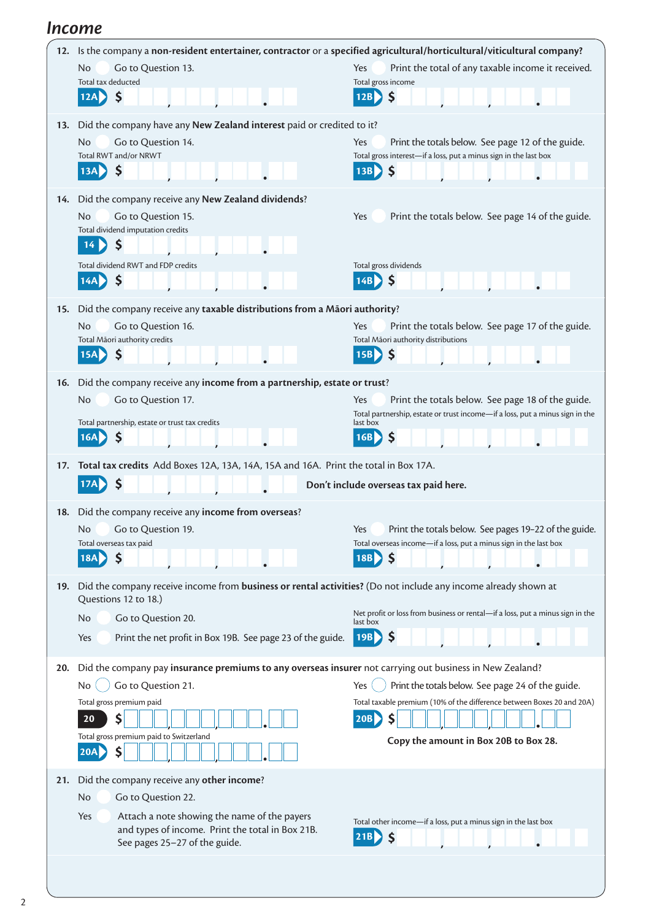#### *Income*

| 12. | Is the company a non-resident entertainer, contractor or a specified agricultural/horticultural/viticultural company?                  |                                                                                                                                          |  |  |  |  |  |  |  |  |
|-----|----------------------------------------------------------------------------------------------------------------------------------------|------------------------------------------------------------------------------------------------------------------------------------------|--|--|--|--|--|--|--|--|
|     | No.<br>Go to Question 13.                                                                                                              | Print the total of any taxable income it received.<br>Yes                                                                                |  |  |  |  |  |  |  |  |
|     | Total tax deducted                                                                                                                     | Total gross income<br>\$<br>12B                                                                                                          |  |  |  |  |  |  |  |  |
|     | \$<br>12A                                                                                                                              |                                                                                                                                          |  |  |  |  |  |  |  |  |
| 13. | Did the company have any New Zealand interest paid or credited to it?                                                                  |                                                                                                                                          |  |  |  |  |  |  |  |  |
|     | Go to Question 14.<br>No                                                                                                               | Yes<br>Print the totals below. See page 12 of the guide.                                                                                 |  |  |  |  |  |  |  |  |
|     | Total RWT and/or NRWT                                                                                                                  | Total gross interest-if a loss, put a minus sign in the last box                                                                         |  |  |  |  |  |  |  |  |
|     | \$<br>13A                                                                                                                              | \$<br>13B                                                                                                                                |  |  |  |  |  |  |  |  |
| 14. | Did the company receive any New Zealand dividends?                                                                                     |                                                                                                                                          |  |  |  |  |  |  |  |  |
|     | <b>No</b><br>Go to Question 15.                                                                                                        | Print the totals below. See page 14 of the guide.<br>Yes                                                                                 |  |  |  |  |  |  |  |  |
|     | Total dividend imputation credits                                                                                                      |                                                                                                                                          |  |  |  |  |  |  |  |  |
|     | \$<br>14                                                                                                                               |                                                                                                                                          |  |  |  |  |  |  |  |  |
|     | Total dividend RWT and FDP credits                                                                                                     | Total gross dividends                                                                                                                    |  |  |  |  |  |  |  |  |
|     | \$<br>14AP                                                                                                                             | \$<br>14B                                                                                                                                |  |  |  |  |  |  |  |  |
| 15. | Did the company receive any taxable distributions from a Māori authority?                                                              |                                                                                                                                          |  |  |  |  |  |  |  |  |
|     | No<br>Go to Question 16.                                                                                                               | Yes<br>Print the totals below. See page 17 of the guide.                                                                                 |  |  |  |  |  |  |  |  |
|     | Total Māori authority credits                                                                                                          | Total Māori authority distributions                                                                                                      |  |  |  |  |  |  |  |  |
|     | \$                                                                                                                                     | $\mathsf{\$}$<br>15B                                                                                                                     |  |  |  |  |  |  |  |  |
| 16. | Did the company receive any income from a partnership, estate or trust?                                                                |                                                                                                                                          |  |  |  |  |  |  |  |  |
|     | Go to Question 17.<br><b>No</b>                                                                                                        | Yes<br>Print the totals below. See page 18 of the guide.                                                                                 |  |  |  |  |  |  |  |  |
|     | Total partnership, estate or trust tax credits                                                                                         | Total partnership, estate or trust income-if a loss, put a minus sign in the<br>last box                                                 |  |  |  |  |  |  |  |  |
|     | \$<br>16A                                                                                                                              | \$<br>16B                                                                                                                                |  |  |  |  |  |  |  |  |
| 17. |                                                                                                                                        |                                                                                                                                          |  |  |  |  |  |  |  |  |
|     | Total tax credits Add Boxes 12A, 13A, 14A, 15A and 16A. Print the total in Box 17A.<br>\$<br>Don't include overseas tax paid here.     |                                                                                                                                          |  |  |  |  |  |  |  |  |
|     |                                                                                                                                        |                                                                                                                                          |  |  |  |  |  |  |  |  |
| 18. | Did the company receive any income from overseas?                                                                                      |                                                                                                                                          |  |  |  |  |  |  |  |  |
|     | No.<br>Go to Question 19.<br>Total overseas tax paid                                                                                   | Print the totals below. See pages 19-22 of the guide.<br><b>Yes</b><br>Total overseas income-if a loss, put a minus sign in the last box |  |  |  |  |  |  |  |  |
|     | $\mathsf{\hat{S}}$<br>18A                                                                                                              | $\mathsf{\$}$<br>18B                                                                                                                     |  |  |  |  |  |  |  |  |
|     |                                                                                                                                        |                                                                                                                                          |  |  |  |  |  |  |  |  |
| 19. | Did the company receive income from business or rental activities? (Do not include any income already shown at<br>Questions 12 to 18.) |                                                                                                                                          |  |  |  |  |  |  |  |  |
|     | Go to Question 20.<br>No                                                                                                               | Net profit or loss from business or rental-if a loss, put a minus sign in the                                                            |  |  |  |  |  |  |  |  |
|     | Print the net profit in Box 19B. See page 23 of the guide.<br>Yes                                                                      | last box<br>-\$<br>$ 19B\rangle$                                                                                                         |  |  |  |  |  |  |  |  |
|     |                                                                                                                                        |                                                                                                                                          |  |  |  |  |  |  |  |  |
| 20. | Did the company pay insurance premiums to any overseas insurer not carrying out business in New Zealand?                               |                                                                                                                                          |  |  |  |  |  |  |  |  |
|     | Go to Question 21.<br>No.                                                                                                              | Print the totals below. See page 24 of the guide.<br>Yes                                                                                 |  |  |  |  |  |  |  |  |
|     | Total gross premium paid                                                                                                               | Total taxable premium (10% of the difference between Boxes 20 and 20A)                                                                   |  |  |  |  |  |  |  |  |
|     | \$<br>20                                                                                                                               | \$<br>20B                                                                                                                                |  |  |  |  |  |  |  |  |
|     | Total gross premium paid to Switzerland<br>20A                                                                                         | Copy the amount in Box 20B to Box 28.                                                                                                    |  |  |  |  |  |  |  |  |
|     | S                                                                                                                                      |                                                                                                                                          |  |  |  |  |  |  |  |  |
| 21. | Did the company receive any other income?                                                                                              |                                                                                                                                          |  |  |  |  |  |  |  |  |
|     | Go to Question 22.<br>No                                                                                                               |                                                                                                                                          |  |  |  |  |  |  |  |  |
|     | Attach a note showing the name of the payers<br>Yes                                                                                    | Total other income—if a loss, put a minus sign in the last box                                                                           |  |  |  |  |  |  |  |  |
|     | and types of income. Print the total in Box 21B.<br>See pages 25-27 of the guide.                                                      | \$<br> 21B                                                                                                                               |  |  |  |  |  |  |  |  |
|     |                                                                                                                                        |                                                                                                                                          |  |  |  |  |  |  |  |  |
|     |                                                                                                                                        |                                                                                                                                          |  |  |  |  |  |  |  |  |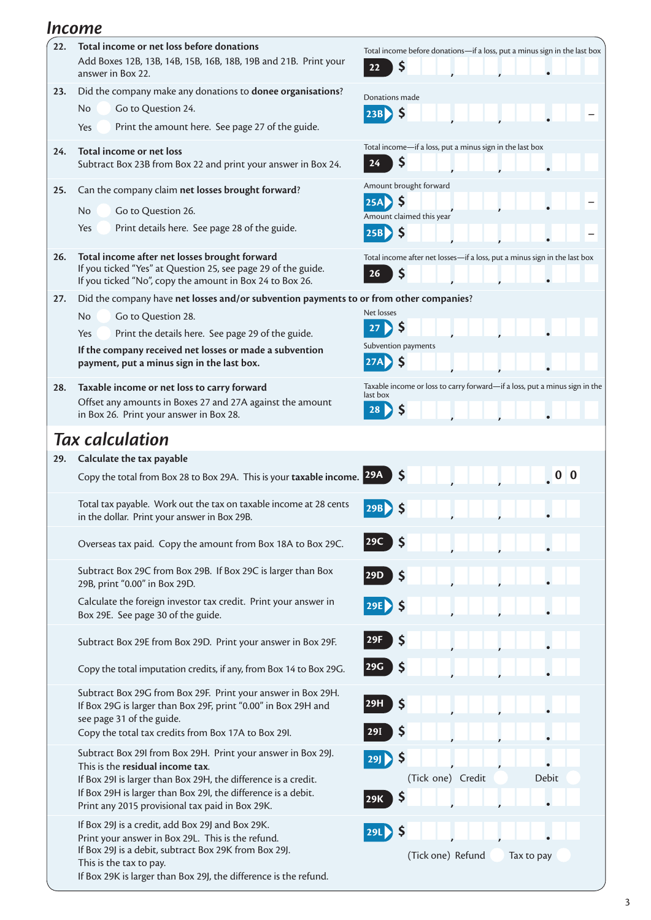#### *Income*

| 22. | Total income or net loss before donations                                                                                                                   | Total income before donations-if a loss, put a minus sign in the last box  |  |  |  |  |  |  |
|-----|-------------------------------------------------------------------------------------------------------------------------------------------------------------|----------------------------------------------------------------------------|--|--|--|--|--|--|
|     | Add Boxes 12B, 13B, 14B, 15B, 16B, 18B, 19B and 21B. Print your<br>answer in Box 22.                                                                        | \$<br>22                                                                   |  |  |  |  |  |  |
| 23. | Did the company make any donations to donee organisations?                                                                                                  | Donations made                                                             |  |  |  |  |  |  |
|     | <b>No</b><br>Go to Question 24.                                                                                                                             | 23B                                                                        |  |  |  |  |  |  |
|     | Print the amount here. See page 27 of the guide.<br>Yes                                                                                                     |                                                                            |  |  |  |  |  |  |
| 24. | Total income or net loss                                                                                                                                    | Total income-if a loss, put a minus sign in the last box                   |  |  |  |  |  |  |
|     | Subtract Box 23B from Box 22 and print your answer in Box 24.                                                                                               | \$<br>24                                                                   |  |  |  |  |  |  |
| 25. | Can the company claim net losses brought forward?                                                                                                           | Amount brought forward                                                     |  |  |  |  |  |  |
|     | <b>No</b><br>Go to Question 26.                                                                                                                             | \$.<br>25A                                                                 |  |  |  |  |  |  |
|     | Print details here. See page 28 of the guide.<br>Yes                                                                                                        | Amount claimed this year                                                   |  |  |  |  |  |  |
|     |                                                                                                                                                             | $\mathsf{\$}$<br>25B)                                                      |  |  |  |  |  |  |
| 26. | Total income after net losses brought forward                                                                                                               | Total income after net losses-if a loss, put a minus sign in the last box  |  |  |  |  |  |  |
|     | If you ticked "Yes" at Question 25, see page 29 of the guide.<br>If you ticked "No", copy the amount in Box 24 to Box 26.                                   | S<br>26                                                                    |  |  |  |  |  |  |
| 27. | Did the company have net losses and/or subvention payments to or from other companies?                                                                      |                                                                            |  |  |  |  |  |  |
|     | <b>No</b><br>Go to Question 28.                                                                                                                             | Net losses                                                                 |  |  |  |  |  |  |
|     | Print the details here. See page 29 of the guide.<br>Yes                                                                                                    | \$<br>27                                                                   |  |  |  |  |  |  |
|     | If the company received net losses or made a subvention                                                                                                     | Subvention payments                                                        |  |  |  |  |  |  |
|     | payment, put a minus sign in the last box.                                                                                                                  | <b>S</b>                                                                   |  |  |  |  |  |  |
| 28. | Taxable income or net loss to carry forward                                                                                                                 | Taxable income or loss to carry forward-if a loss, put a minus sign in the |  |  |  |  |  |  |
|     | Offset any amounts in Boxes 27 and 27A against the amount                                                                                                   | last box                                                                   |  |  |  |  |  |  |
|     | in Box 26. Print your answer in Box 28.                                                                                                                     | 28                                                                         |  |  |  |  |  |  |
|     | <b>Tax calculation</b>                                                                                                                                      |                                                                            |  |  |  |  |  |  |
| 29. | Calculate the tax payable                                                                                                                                   |                                                                            |  |  |  |  |  |  |
|     | Copy the total from Box 28 to Box 29A. This is your taxable income. 29A                                                                                     | S                                                                          |  |  |  |  |  |  |
|     | Total tax payable. Work out the tax on taxable income at 28 cents<br>in the dollar. Print your answer in Box 29B.                                           | 29B                                                                        |  |  |  |  |  |  |
|     | Overseas tax paid. Copy the amount from Box 18A to Box 29C.                                                                                                 | 29C                                                                        |  |  |  |  |  |  |
|     | Subtract Box 29C from Box 29B. If Box 29C is larger than Box<br>29B, print "0.00" in Box 29D.                                                               | 29D<br>Ş                                                                   |  |  |  |  |  |  |
|     | Calculate the foreign investor tax credit. Print your answer in<br>Box 29E. See page 30 of the guide.                                                       | 29E                                                                        |  |  |  |  |  |  |
|     | Subtract Box 29E from Box 29D. Print your answer in Box 29F.                                                                                                | 29F<br>Ş                                                                   |  |  |  |  |  |  |
|     | Copy the total imputation credits, if any, from Box 14 to Box 29G.                                                                                          | 29G                                                                        |  |  |  |  |  |  |
|     | Subtract Box 29G from Box 29F. Print your answer in Box 29H.<br>If Box 29G is larger than Box 29F, print "0.00" in Box 29H and<br>see page 31 of the guide. | Ş<br> 29H                                                                  |  |  |  |  |  |  |
|     | Copy the total tax credits from Box 17A to Box 29I.                                                                                                         | Ş<br>29I                                                                   |  |  |  |  |  |  |
|     | Subtract Box 29I from Box 29H. Print your answer in Box 29J.                                                                                                | \$<br>29                                                                   |  |  |  |  |  |  |
|     | This is the residual income tax.<br>If Box 29I is larger than Box 29H, the difference is a credit.                                                          | (Tick one) Credit<br><b>Debit</b>                                          |  |  |  |  |  |  |
|     | If Box 29H is larger than Box 29I, the difference is a debit.                                                                                               | \$                                                                         |  |  |  |  |  |  |
|     | Print any 2015 provisional tax paid in Box 29K.                                                                                                             | 29K                                                                        |  |  |  |  |  |  |
|     | If Box 29J is a credit, add Box 29J and Box 29K.                                                                                                            |                                                                            |  |  |  |  |  |  |
|     | Print your answer in Box 29L. This is the refund.                                                                                                           | 29L                                                                        |  |  |  |  |  |  |
|     | If Box 29J is a debit, subtract Box 29K from Box 29J.<br>This is the tax to pay.<br>If Box 29K is larger than Box 29J, the difference is the refund.        | (Tick one) Refund<br>Tax to pay                                            |  |  |  |  |  |  |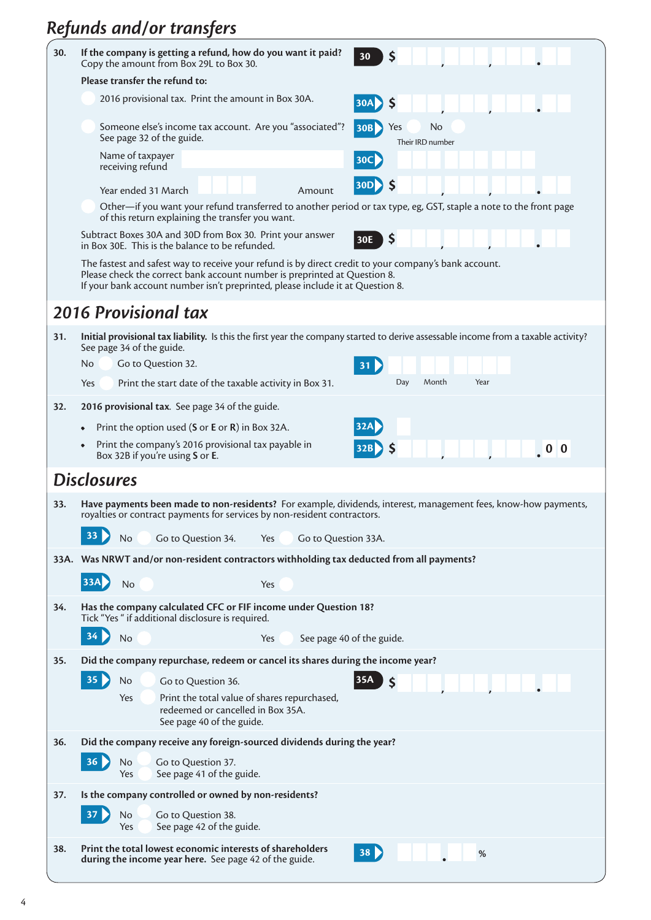# *Refunds and/or transfers*

| 30.                  | If the company is getting a refund, how do you want it paid?<br>30<br>S<br>Copy the amount from Box 29L to Box 30.                                                                                                                                                   |  |  |  |  |  |  |  |  |
|----------------------|----------------------------------------------------------------------------------------------------------------------------------------------------------------------------------------------------------------------------------------------------------------------|--|--|--|--|--|--|--|--|
|                      | Please transfer the refund to:                                                                                                                                                                                                                                       |  |  |  |  |  |  |  |  |
|                      | 2016 provisional tax. Print the amount in Box 30A.<br>30A<br><b>S</b>                                                                                                                                                                                                |  |  |  |  |  |  |  |  |
|                      | Someone else's income tax account. Are you "associated"?<br>No<br>Yes<br>30B<br>See page 32 of the guide.<br>Their IRD number                                                                                                                                        |  |  |  |  |  |  |  |  |
|                      | Name of taxpayer<br>30C<br>receiving refund                                                                                                                                                                                                                          |  |  |  |  |  |  |  |  |
|                      | 30D<br>Year ended 31 March<br>Amount                                                                                                                                                                                                                                 |  |  |  |  |  |  |  |  |
|                      | Other—if you want your refund transferred to another period or tax type, eg, GST, staple a note to the front page<br>of this return explaining the transfer you want.                                                                                                |  |  |  |  |  |  |  |  |
|                      | Subtract Boxes 30A and 30D from Box 30. Print your answer<br>\$<br>30E<br>in Box 30E. This is the balance to be refunded.                                                                                                                                            |  |  |  |  |  |  |  |  |
|                      | The fastest and safest way to receive your refund is by direct credit to your company's bank account.<br>Please check the correct bank account number is preprinted at Question 8.<br>If your bank account number isn't preprinted, please include it at Question 8. |  |  |  |  |  |  |  |  |
| 2016 Provisional tax |                                                                                                                                                                                                                                                                      |  |  |  |  |  |  |  |  |
| 31.                  | Initial provisional tax liability. Is this the first year the company started to derive assessable income from a taxable activity?<br>See page 34 of the guide.                                                                                                      |  |  |  |  |  |  |  |  |
|                      | Go to Question 32.<br>No.                                                                                                                                                                                                                                            |  |  |  |  |  |  |  |  |
|                      | Day<br>Month<br>Year<br>Print the start date of the taxable activity in Box 31.<br><b>Yes</b>                                                                                                                                                                        |  |  |  |  |  |  |  |  |
| 32.                  | 2016 provisional tax. See page 34 of the guide.                                                                                                                                                                                                                      |  |  |  |  |  |  |  |  |
|                      | 32A<br>Print the option used (S or E or R) in Box 32A.                                                                                                                                                                                                               |  |  |  |  |  |  |  |  |
|                      | Print the company's 2016 provisional tax payable in<br>$32B$ S                                                                                                                                                                                                       |  |  |  |  |  |  |  |  |
|                      | Box 32B if you're using S or E.                                                                                                                                                                                                                                      |  |  |  |  |  |  |  |  |
|                      | <b>Disclosures</b>                                                                                                                                                                                                                                                   |  |  |  |  |  |  |  |  |
| 33.                  | Have payments been made to non-residents? For example, dividends, interest, management fees, know-how payments,<br>royalties or contract payments for services by non-resident contractors.                                                                          |  |  |  |  |  |  |  |  |
|                      | 33 <sub>°</sub><br>Go to Question 34.<br>No<br>Yes<br>Go to Question 33A.                                                                                                                                                                                            |  |  |  |  |  |  |  |  |
|                      | 33A. Was NRWT and/or non-resident contractors withholding tax deducted from all payments?                                                                                                                                                                            |  |  |  |  |  |  |  |  |
|                      | 33A<br>No<br>Yes                                                                                                                                                                                                                                                     |  |  |  |  |  |  |  |  |
| 34.                  | Has the company calculated CFC or FIF income under Question 18?                                                                                                                                                                                                      |  |  |  |  |  |  |  |  |
|                      | Tick "Yes " if additional disclosure is required.                                                                                                                                                                                                                    |  |  |  |  |  |  |  |  |
|                      | $34 \triangleright$<br>No<br>Yes<br>See page 40 of the guide.                                                                                                                                                                                                        |  |  |  |  |  |  |  |  |
| 35.                  | Did the company repurchase, redeem or cancel its shares during the income year?                                                                                                                                                                                      |  |  |  |  |  |  |  |  |
|                      | $35 \}$<br>35A<br>No<br>$\mathsf{\hat{S}}$<br>Go to Question 36.                                                                                                                                                                                                     |  |  |  |  |  |  |  |  |
|                      | Yes<br>Print the total value of shares repurchased,<br>redeemed or cancelled in Box 35A.<br>See page 40 of the guide.                                                                                                                                                |  |  |  |  |  |  |  |  |
| 36.                  | Did the company receive any foreign-sourced dividends during the year?                                                                                                                                                                                               |  |  |  |  |  |  |  |  |
|                      | 36 <sup>°</sup><br>No<br>Go to Question 37.<br>See page 41 of the guide.<br>Yes                                                                                                                                                                                      |  |  |  |  |  |  |  |  |
| 37.                  | Is the company controlled or owned by non-residents?                                                                                                                                                                                                                 |  |  |  |  |  |  |  |  |
|                      | 37<br>No<br>Go to Question 38.<br>See page 42 of the guide.<br>Yes                                                                                                                                                                                                   |  |  |  |  |  |  |  |  |
| 38.                  | Print the total lowest economic interests of shareholders<br>38<br>$\%$<br>during the income year here. See page 42 of the guide.                                                                                                                                    |  |  |  |  |  |  |  |  |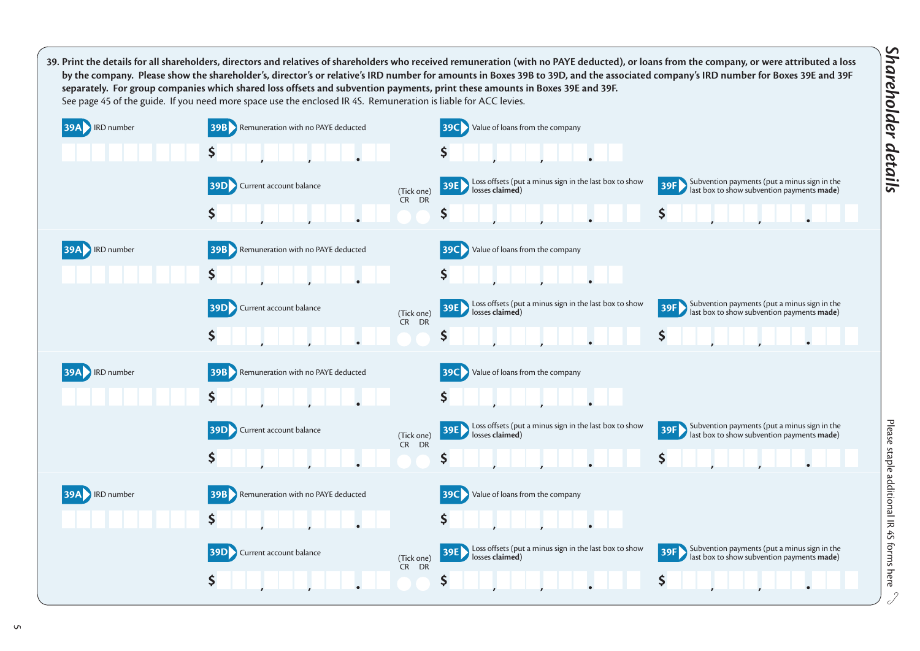